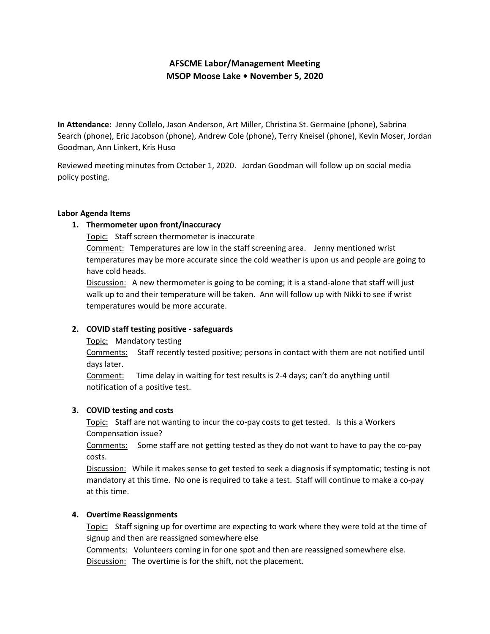# **AFSCME Labor/Management Meeting MSOP Moose Lake • November 5, 2020**

**In Attendance:** Jenny Collelo, Jason Anderson, Art Miller, Christina St. Germaine (phone), Sabrina Search (phone), Eric Jacobson (phone), Andrew Cole (phone), Terry Kneisel (phone), Kevin Moser, Jordan Goodman, Ann Linkert, Kris Huso

Reviewed meeting minutes from October 1, 2020. Jordan Goodman will follow up on social media policy posting.

#### **Labor Agenda Items**

# **1. Thermometer upon front/inaccuracy**

Topic: Staff screen thermometer is inaccurate

Comment: Temperatures are low in the staff screening area. Jenny mentioned wrist temperatures may be more accurate since the cold weather is upon us and people are going to have cold heads.

Discussion: A new thermometer is going to be coming; it is a stand-alone that staff will just walk up to and their temperature will be taken. Ann will follow up with Nikki to see if wrist temperatures would be more accurate.

# **2. COVID staff testing positive - safeguards**

Topic: Mandatory testing

Comments: Staff recently tested positive; persons in contact with them are not notified until days later.

Comment: Time delay in waiting for test results is 2-4 days; can't do anything until notification of a positive test.

# **3. COVID testing and costs**

Topic: Staff are not wanting to incur the co-pay costs to get tested. Is this a Workers Compensation issue?

Comments: Some staff are not getting tested as they do not want to have to pay the co-pay costs.

Discussion: While it makes sense to get tested to seek a diagnosis if symptomatic; testing is not mandatory at this time. No one is required to take a test. Staff will continue to make a co-pay at this time.

# **4. Overtime Reassignments**

Topic: Staff signing up for overtime are expecting to work where they were told at the time of signup and then are reassigned somewhere else

Comments: Volunteers coming in for one spot and then are reassigned somewhere else. Discussion: The overtime is for the shift, not the placement.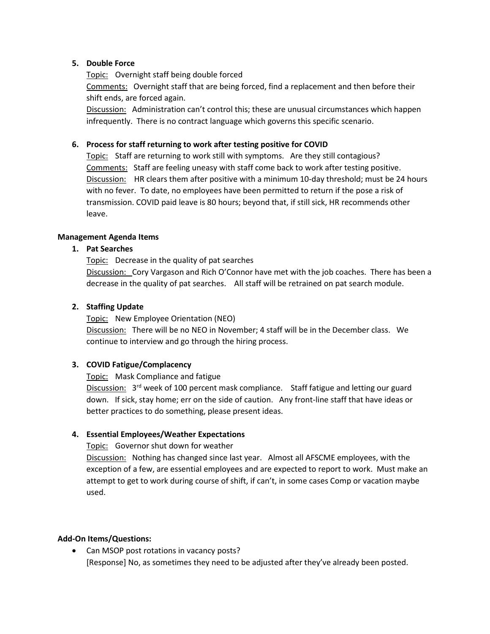## **5. Double Force**

Topic: Overnight staff being double forced Comments: Overnight staff that are being forced, find a replacement and then before their shift ends, are forced again.

Discussion: Administration can't control this; these are unusual circumstances which happen infrequently. There is no contract language which governs this specific scenario.

## **6. Process for staff returning to work after testing positive for COVID**

Topic: Staff are returning to work still with symptoms. Are they still contagious? Comments: Staff are feeling uneasy with staff come back to work after testing positive. Discussion: HR clears them after positive with a minimum 10-day threshold; must be 24 hours with no fever. To date, no employees have been permitted to return if the pose a risk of transmission. COVID paid leave is 80 hours; beyond that, if still sick, HR recommends other leave.

## **Management Agenda Items**

## **1. Pat Searches**

Topic: Decrease in the quality of pat searches

Discussion: Cory Vargason and Rich O'Connor have met with the job coaches. There has been a decrease in the quality of pat searches. All staff will be retrained on pat search module.

## **2. Staffing Update**

Topic: New Employee Orientation (NEO) Discussion: There will be no NEO in November; 4 staff will be in the December class. We continue to interview and go through the hiring process.

# **3. COVID Fatigue/Complacency**

Topic: Mask Compliance and fatigue

Discussion: 3<sup>rd</sup> week of 100 percent mask compliance. Staff fatigue and letting our guard down. If sick, stay home; err on the side of caution. Any front-line staff that have ideas or better practices to do something, please present ideas.

# **4. Essential Employees/Weather Expectations**

#### Topic: Governor shut down for weather

Discussion: Nothing has changed since last year. Almost all AFSCME employees, with the exception of a few, are essential employees and are expected to report to work. Must make an attempt to get to work during course of shift, if can't, in some cases Comp or vacation maybe used.

#### **Add-On Items/Questions:**

• Can MSOP post rotations in vacancy posts? [Response] No, as sometimes they need to be adjusted after they've already been posted.